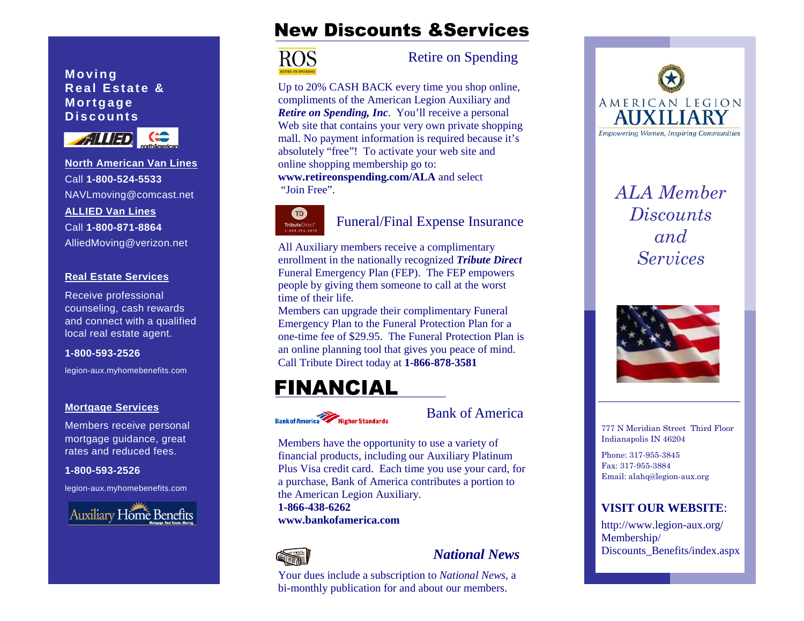### **Moving Real Estate & Mortgage Discounts**



**North American Van Lines**Call **1-800-524-5533**NAVLmoving@comcast.net **ALLIED Van Lines**Call **1-800-871-8864**AlliedMoving@verizon.net

### **Real Estate Services**

Receive professional counseling, cash rewards and connect with a qualified local real estate agent.

### **1-800-593-2526**

legion-aux.myhomebenefits.com

### **Mortgage Services**

Members receive personal mortgage guidance, great rates and reduced fees.

**1-800-593-2526** 

legion-aux.myhomebenefits.com



# **New Discounts & Services**



### Retire on Spending

Up to 20% CASH BACK every time you shop online, compliments of the American Legion Auxiliary and *Retire on Spending, Inc*. You'll receive a personal Web site that contains your very own private shopping mall. No payment information is required because it's absolutely "free"! To activate your web site and online shopping membership go to: **www.retireonspending.com/ALA** and select "Join Free".



### Funeral/Final Expense Insurance

All Auxiliary members receive a complimentary enrollment in the nationally recognized *Tribute Direct*  Funeral Emergency Plan (FEP). The FEP empowers people by giving them someone to call at the worst time of their life.

Members can upgrade their complimentary Funeral Emergency Plan to the Funeral Protection Plan for a one-time fee of \$29.95. The Funeral Protection Plan is an online planning tool that gives you peace of mind. Call Tribute Direct today at **1-866-878-3581** 

# **FINANCIAL**



Bank of America

Members have the opportunity to use a variety of financial products, including our Auxiliary Platinum Plus Visa credit card. Each time you use your card, for a purchase, Bank of America contributes a portion to the American Legion Auxiliary.

**1-866-438-6262 www.bankofamerica.com** 



### *National News*

Your dues include a subscription to *National News*, <sup>a</sup> bi-monthly publication for and about our members.



*ALA Member Discounts and Services* 



777 N Meridian Street Third Floor Indianapolis IN 46204

Phone: 317-955-3845 Fax: 317-955-3884 Email: alahq@legion-aux.org

### **VISIT OUR WEBSITE**:

http://www.legion-aux.org/ Membership/ Discounts\_Benefits/index.aspx